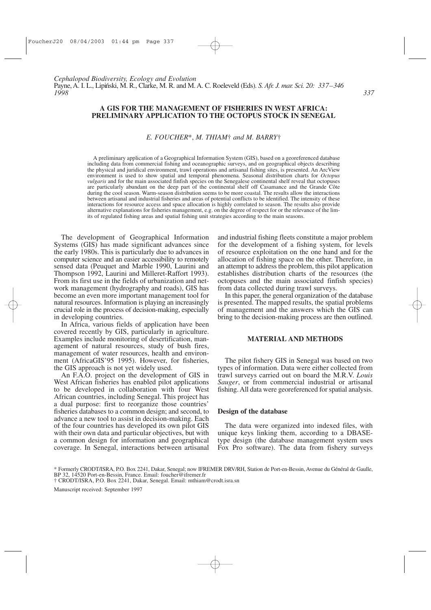Payne, A. I. L., Lipiński, M. R., Clarke, M. R. and M. A. C. Roeleveld (Eds). *S. Afr. J. mar. Sci. 20:* 337–346<br>1998 *1998 337*

## **A GIS FOR THE MANAGEMENT OF FISHERIES IN WEST AFRICA: PRELIMINARY APPLICATION TO THE OCTOPUS STOCK IN SENEGAL**

# *E. FOUCHER*\*, *M. THIAM*† *and M. BARRY*†

A preliminary application of a Geographical Information System (GIS), based on a georeferenced database including data from commercial fishing and oceanographic surveys, and on geographical objects describing the physical and juridical environment, trawl operations and artisanal fishing sites, is presented. An ArcView environment is used to show spatial and temporal phenomena. Seasonal distribution charts for *Octopus vulgaris* and for the main associated finfish species on the Senegalese continental shelf reveal that octopuses are particularly abundant on the deep part of the continental shelf off Casamance and the Grande Côte during the cool season. Warm-season distribution seems to be more coastal. The results allow the interactions between artisanal and industrial fisheries and areas of potential conflicts to be identified. The intensity of these interactions for resource access and space allocation is highly correlated to season. The results also provide alternative explanations for fisheries management, e.g. on the degree of respect for or the relevance of the limits of regulated fishing areas and spatial fishing unit strategies according to the main seasons.

The development of Geographical Information Systems (GIS) has made significant advances since the early 1980s. This is particularly due to advances in computer science and an easier accessibility to remotely sensed data (Peuquet and Marble 1990, Laurini and Thompson 1992, Laurini and Milleret-Raffort 1993). From its first use in the fields of urbanization and network management (hydrography and roads), GIS has become an even more important management tool for natural resources. Information is playing an increasingly crucial role in the process of decision-making, especially in developing countries.

In Africa, various fields of application have been covered recently by GIS, particularly in agriculture. Examples include monitoring of desertification, management of natural resources, study of bush fires, management of water resources, health and environment (AfricaGIS'95 1995). However, for fisheries, the GIS approach is not yet widely used.

An F.A.O. project on the development of GIS in West African fisheries has enabled pilot applications to be developed in collaboration with four West African countries, including Senegal. This project has a dual purpose: first to reorganize those countries' fisheries databases to a common design; and second, to advance a new tool to assist in decision-making. Each of the four countries has developed its own pilot GIS with their own data and particular objectives, but with a common design for information and geographical coverage. In Senegal, interactions between artisanal

and industrial fishing fleets constitute a major problem for the development of a fishing system, for levels of resource exploitation on the one hand and for the allocation of fishing space on the other. Therefore, in an attempt to address the problem, this pilot application establishes distribution charts of the resources (the octopuses and the main associated finfish species) from data collected during trawl surveys.

In this paper, the general organization of the database is presented. The mapped results, the spatial problems of management and the answers which the GIS can bring to the decision-making process are then outlined.

## **MATERIAL AND METHODS**

The pilot fishery GIS in Senegal was based on two types of information. Data were either collected from trawl surveys carried out on board the M.R.V. *Louis Sauger*, or from commercial industrial or artisanal fishing. All data were georeferenced for spatial analysis.

## **Design of the database**

The data were organized into indexed files, with unique keys linking them, according to a DBASEtype design (the database management system uses Fox Pro software). The data from fishery surveys

 $\overline{\mathcal{A}}$ 

Manuscript received: September 1997

<sup>\*</sup> Formerly CRODT/ISRA, P.O. Box 2241, Dakar, Senegal; now IFREMER DRV/RH, Station de Port-en-Bessin, Avenue du Général de Gaulle, BP 32, 14520 Port-en-Bessin, France. Email: foucher@ifremer.fr

<sup>†</sup> CRODT/ISRA, P.O. Box 2241, Dakar, Senegal. Email: mthiam@crodt.isra.sn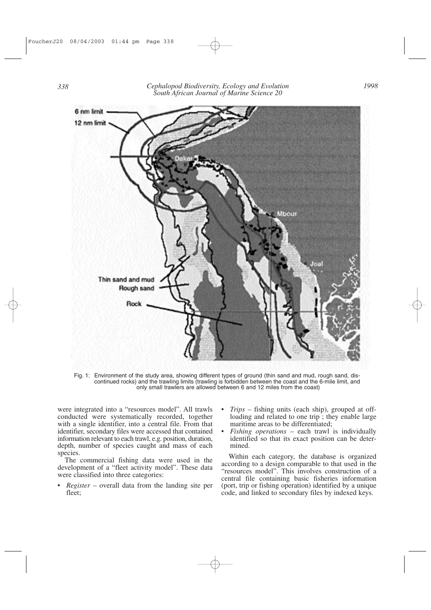*Cephalopod Biodiversity, Ecology and Evolution 338 1998 South African Journal of Marine Science 20*



Fig. 1: Environment of the study area, showing different types of ground (thin sand and mud, rough sand, discontinued rocks) and the trawling limits (trawling is forbidden between the coast and the 6-mile limit, and only small trawlers are allowed between 6 and 12 miles from the coast)

were integrated into a "resources model". All trawls conducted were systematically recorded, together with a single identifier, into a central file. From that identifier, secondary files were accessed that contained information relevant to each trawl, e.g. position, duration, depth, number of species caught and mass of each species.

The commercial fishing data were used in the development of a "fleet activity model". These data were classified into three categories:

*• Register* – overall data from the landing site per fleet;

- *Trips* fishing units (each ship), grouped at offloading and related to one trip ; they enable large maritime areas to be differentiated;
- *Fishing operations* each trawl is individually identified so that its exact position can be determined.

Within each category, the database is organized according to a design comparable to that used in the "resources model". This involves construction of a central file containing basic fisheries information (port, trip or fishing operation) identified by a unique code, and linked to secondary files by indexed keys.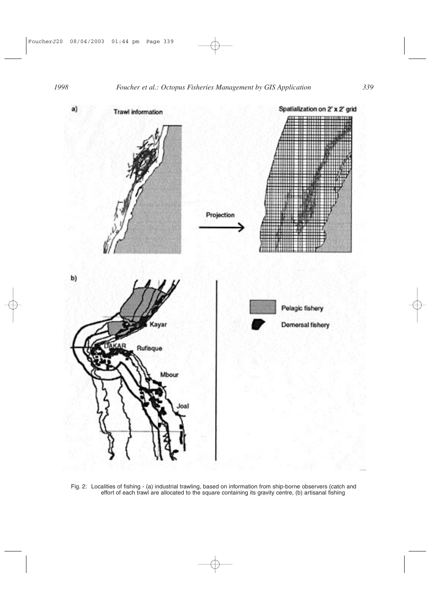Ŧ



Fig. 2: Localities of fishing - (a) industrial trawling, based on information from ship-borne observers (catch and effort of each trawl are allocated to the square containing its gravity centre, (b) artisanal fishing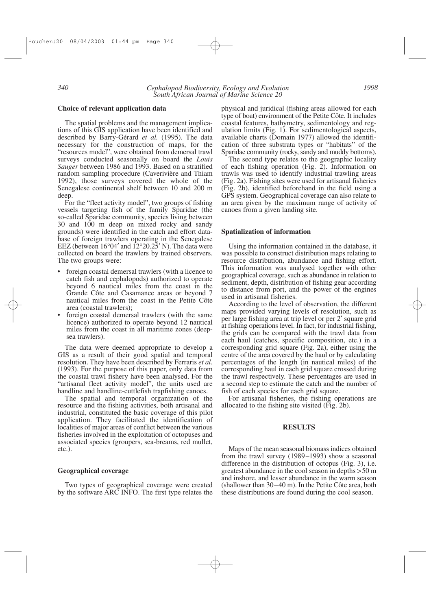# **Choice of relevant application data**

The spatial problems and the management implications of this GIS application have been identified and described by Barry-Gérard *et al.* (1995). The data necessary for the construction of maps, for the "resources model", were obtained from demersal trawl surveys conducted seasonally on board the *Louis Sauger* between 1986 and 1993. Based on a stratified random sampling procedure (Caverivière and Thiam 1992), those surveys covered the whole of the Senegalese continental shelf between 10 and 200 m deep.

For the "fleet activity model", two groups of fishing vessels targeting fish of the family Sparidae (the so-called Sparidae community, species living between 30 and 100 m deep on mixed rocky and sandy grounds) were identified in the catch and effort database of foreign trawlers operating in the Senegalese EEZ (between 16°04′ and 12°20.25′ N). The data were collected on board the trawlers by trained observers. The two groups were:

- foreign coastal demersal trawlers (with a licence to catch fish and cephalopods) authorized to operate beyond 6 nautical miles from the coast in the Grande Côte and Casamance areas or beyond 7 nautical miles from the coast in the Petite Côte area (coastal trawlers);
- foreign coastal demersal trawlers (with the same licence) authorized to operate beyond 12 nautical miles from the coast in all maritime zones (deepsea trawlers).

The data were deemed appropriate to develop a GIS as a result of their good spatial and temporal resolution. They have been described by Ferraris *et al.* (1993). For the purpose of this paper, only data from the coastal trawl fishery have been analysed. For the "artisanal fleet activity model", the units used are handline and handline-cuttlefish trapfishing canoes.

The spatial and temporal organization of the resource and the fishing activities, both artisanal and industrial, constituted the basic coverage of this pilot application. They facilitated the identification of localities of major areas of conflict between the various fisheries involved in the exploitation of octopuses and associated species (groupers, sea-breams, red mullet, etc.).

## **Geographical coverage**

Two types of geographical coverage were created by the software ARC INFO. The first type relates the

 $\rightarrow$ 

physical and juridical (fishing areas allowed for each type of boat) environment of the Petite Côte. It includes coastal features, bathymetry, sedimentology and regulation limits (Fig. 1). For sedimentological aspects, available charts (Domain 1977) allowed the identification of three substrata types or "habitats" of the Sparidae community (rocky, sandy and muddy bottoms).

The second type relates to the geographic locality of each fishing operation (Fig. 2). Information on trawls was used to identify industrial trawling areas (Fig. 2a). Fishing sites were used for artisanal fisheries (Fig. 2b), identified beforehand in the field using a GPS system. Geographical coverage can also relate to an area given by the maximum range of activity of canoes from a given landing site.

### **Spatialization of information**

Using the information contained in the database, it was possible to construct distribution maps relating to resource distribution, abundance and fishing effort. This information was analysed together with other geographical coverage, such as abundance in relation to sediment, depth, distribution of fishing gear according to distance from port, and the power of the engines used in artisanal fisheries.

According to the level of observation, the different maps provided varying levels of resolution, such as per large fishing area at trip level or per 2′ square grid at fishing operations level. In fact, for industrial fishing, the grids can be compared with the trawl data from each haul (catches, specific composition, etc.) in a corresponding grid square (Fig. 2a), either using the centre of the area covered by the haul or by calculating percentages of the length (in nautical miles) of the corresponding haul in each grid square crossed during the trawl respectively. These percentages are used in a second step to estimate the catch and the number of fish of each species for each grid square.

For artisanal fisheries, the fishing operations are allocated to the fishing site visited (Fig. 2b).

## **RESULTS**

Maps of the mean seasonal biomass indices obtained from the trawl survey (1989–1993) show a seasonal difference in the distribution of octopus (Fig. 3), i.e. greatest abundance in the cool season in depths >50 m and inshore, and lesser abundance in the warm season (shallower than 30–40 m). In the Petite Côte area, both these distributions are found during the cool season.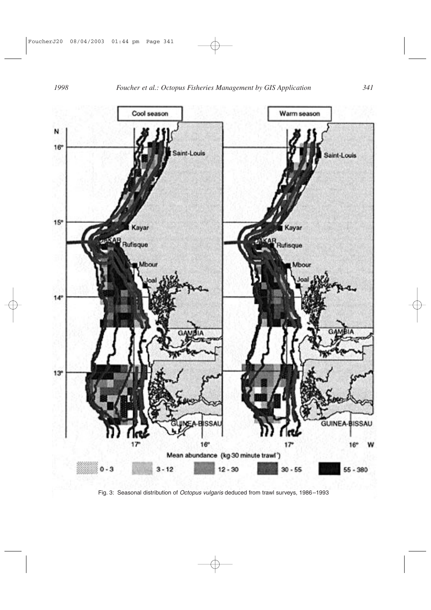$\forall$ 



Fig. 3: Seasonal distribution of *Octopus vulgaris* deduced from trawl surveys, 1986–1993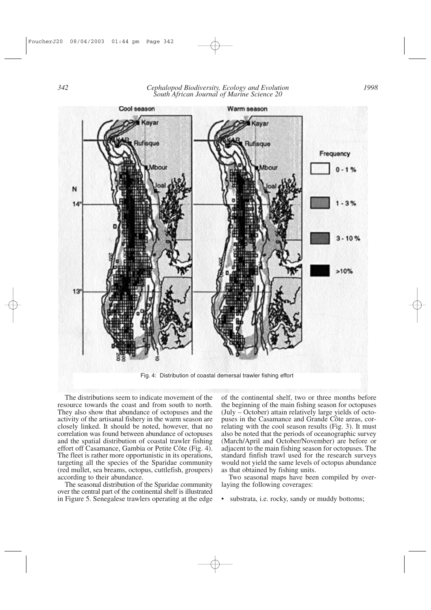*342 Cephalopod Biodiversity, Ecology and Evolution South African Journal of Marine Science 20*



The distributions seem to indicate movement of the resource towards the coast and from south to north. They also show that abundance of octopuses and the activity of the artisanal fishery in the warm season are closely linked. It should be noted, however, that no correlation was found between abundance of octopuses and the spatial distribution of coastal trawler fishing effort off Casamance, Gambia or Petite Côte (Fig. 4). The fleet is rather more opportunistic in its operations, targeting all the species of the Sparidae community (red mullet, sea breams, octopus, cuttlefish, groupers) according to their abundance.

The seasonal distribution of the Sparidae community over the central part of the continental shelf is illustrated in Figure 5. Senegalese trawlers operating at the edge of the continental shelf, two or three months before the beginning of the main fishing season for octopuses (July – October) attain relatively large yields of octopuses in the Casamance and Grande Côte areas, correlating with the cool season results (Fig. 3). It must also be noted that the periods of oceanographic survey (March/April and October/November) are before or adjacent to the main fishing season for octopuses. The standard finfish trawl used for the research surveys would not yield the same levels of octopus abundance as that obtained by fishing units.

Two seasonal maps have been compiled by overlaying the following coverages:

substrata, i.e. rocky, sandy or muddy bottoms;

*1998*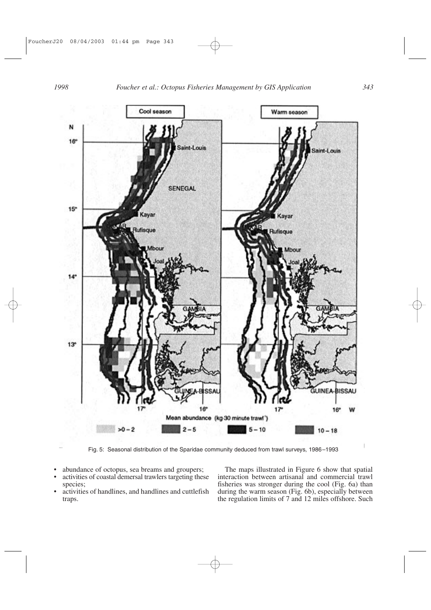

Fig. 5: Seasonal distribution of the Sparidae community deduced from trawl surveys, 1986–1993

- abundance of octopus, sea breams and groupers;
- activities of coastal demersal trawlers targeting these species;
- activities of handlines, and handlines and cuttlefish traps.

The maps illustrated in Figure 6 show that spatial interaction between artisanal and commercial trawl fisheries was stronger during the cool (Fig. 6a) than during the warm season (Fig. 6b), especially between the regulation limits of 7 and 12 miles offshore. Such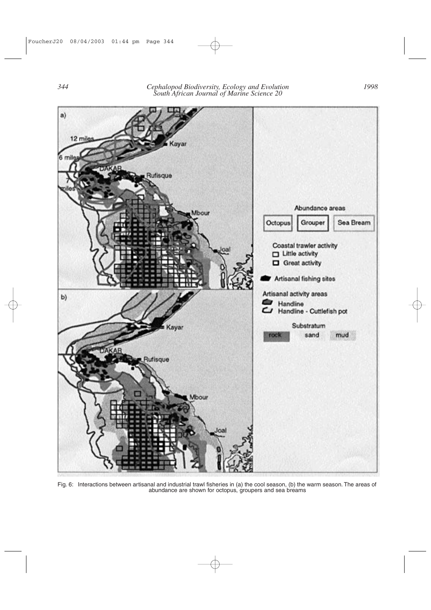*344 Cephalopod Biodiversity, Ecology and Evolution South African Journal of Marine Science 20*

Y



Fig. 6: Interactions between artisanal and industrial trawl fisheries in (a) the cool season, (b) the warm season. The areas of abundance are shown for octopus, groupers and sea breams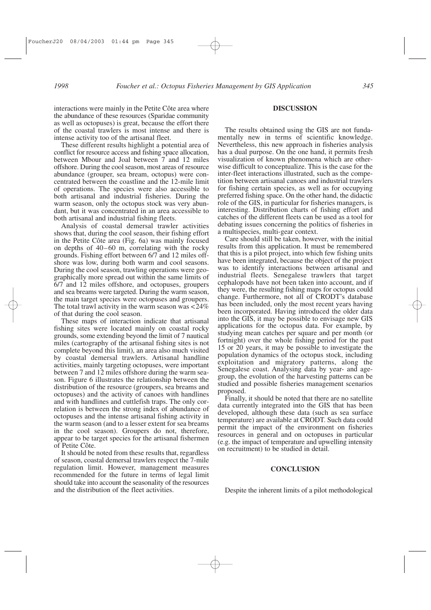These different results highlight a potential area of conflict for resource access and fishing space allocation, between Mbour and Joal between 7 and 12 miles offshore. During the cool season, most areas of resource abundance (grouper, sea bream, octopus) were concentrated between the coastline and the 12-mile limit of operations. The species were also accessible to both artisanal and industrial fisheries. During the warm season, only the octopus stock was very abundant, but it was concentrated in an area accessible to both artisanal and industrial fishing fleets.

Analysis of coastal demersal trawler activities shows that, during the cool season, their fishing effort in the Petite Côte area (Fig. 6a) was mainly focused on depths of 40–60 m, correlating with the rocky grounds. Fishing effort between 6/7 and 12 miles offshore was low, during both warm and cool seasons. During the cool season, trawling operations were geographically more spread out within the same limits of 6/7 and 12 miles offshore, and octopuses, groupers and sea breams were targeted. During the warm season, the main target species were octopuses and groupers. The total trawl activity in the warm season was  $<< 24\%$ of that during the cool season.

These maps of interaction indicate that artisanal fishing sites were located mainly on coastal rocky grounds, some extending beyond the limit of 7 nautical miles (cartography of the artisanal fishing sites is not complete beyond this limit), an area also much visited by coastal demersal trawlers. Artisanal handline activities, mainly targeting octopuses, were important between 7 and 12 miles offshore during the warm season. Figure 6 illustrates the relationship between the distribution of the resource (groupers, sea breams and octopuses) and the activity of canoes with handlines and with handlines and cuttlefish traps. The only correlation is between the strong index of abundance of octopuses and the intense artisanal fishing activity in the warm season (and to a lesser extent for sea breams in the cool season). Groupers do not, therefore, appear to be target species for the artisanal fishermen of Petite Côte.

It should be noted from these results that, regardless of season, coastal demersal trawlers respect the 7-mile regulation limit. However, management measures recommended for the future in terms of legal limit should take into account the seasonality of the resources and the distribution of the fleet activities.

# **DISCUSSION**

The results obtained using the GIS are not fundamentally new in terms of scientific knowledge. Nevertheless, this new approach in fisheries analysis has a dual purpose. On the one hand, it permits fresh visualization of known phenomena which are otherwise difficult to conceptualize. This is the case for the inter-fleet interactions illustrated, such as the competition between artisanal canoes and industrial trawlers for fishing certain species, as well as for occupying preferred fishing space. On the other hand, the didactic role of the GIS, in particular for fisheries managers, is interesting. Distribution charts of fishing effort and catches of the different fleets can be used as a tool for debating issues concerning the politics of fisheries in a multispecies, multi-gear context.

Care should still be taken, however, with the initial results from this application. It must be remembered that this is a pilot project, into which few fishing units have been integrated, because the object of the project was to identify interactions between artisanal and industrial fleets. Senegalese trawlers that target cephalopods have not been taken into account, and if they were, the resulting fishing maps for octopus could change. Furthermore, not all of CRODT's database has been included, only the most recent years having been incorporated. Having introduced the older data into the GIS, it may be possible to envisage new GIS applications for the octopus data. For example, by studying mean catches per square and per month (or fortnight) over the whole fishing period for the past 15 or 20 years, it may be possible to investigate the population dynamics of the octopus stock, including exploitation and migratory patterns, along the Senegalese coast. Analysing data by year- and agegroup, the evolution of the harvesting patterns can be studied and possible fisheries management scenarios proposed.

Finally, it should be noted that there are no satellite data currently integrated into the GIS that has been developed, although these data (such as sea surface temperature) are available at CRODT. Such data could permit the impact of the environment on fisheries resources in general and on octopuses in particular (e.g. the impact of temperature and upwelling intensity on recruitment) to be studied in detail.

## **CONCLUSION**

Despite the inherent limits of a pilot methodological